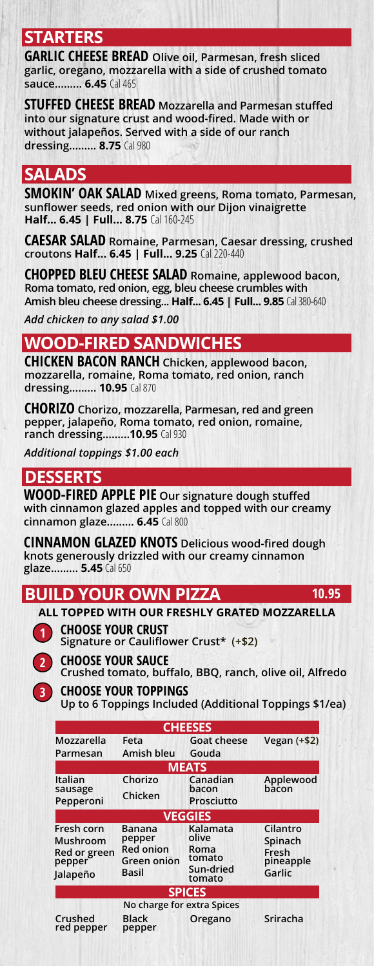### **STARTERS**

**GARLIC CHEESE BREAD Olive oil, Parmesan, fresh sliced garlic, oregano, mozzarella with a side of crushed tomato sauce......... 6.45** Cal 465

**STUFFED CHEESE BREAD Mozzarella and Parmesan stuffed into our signature crust and wood-fired. Made with or without jalapeños. Served with a side of our ranch dressing......... 8.75** Cal 980

### **SALADS**

**SMOKIN' OAK SALAD Mixed greens, Roma tomato, Parmesan, sunflower seeds, red onion with our Dijon vinaigrette Half... 6.45 | Full... 8.75** Cal 160-245

**CAESAR SALAD Romaine, Parmesan, Caesar dressing, crushed croutons Half... 6.45 | Full... 9.25** Cal 220-440

**CHOPPED BLEU CHEESE SALAD Romaine, applewood bacon, Roma tomato, red onion, egg, bleu cheese crumbles with Amish bleu cheese dressing... Half... 6.45 | Full... 9.85** Cal 380-640

*Add chicken to any salad \$1.00*

## **WOOD-FIRED SANDWICHES**

**CHICKEN BACON RANCH Chicken, applewood bacon, mozzarella, romaine, Roma tomato, red onion, ranch dressing......... 10.95** Cal 870

**CHORIZO Chorizo, mozzarella, Parmesan, red and green pepper, jalapeño, Roma tomato, red onion, romaine, ranch dressing.........10.95** Cal 930

*Additional toppings \$1.00 each*

## **DESSERTS**

**WOOD-FIRED APPLE PIE Our signature dough stuffed with cinnamon glazed apples and topped with our creamy cinnamon glaze......... 6.45** Cal 800

**CINNAMON GLAZED KNOTS Delicious wood-fired dough knots generously drizzled with our creamy cinnamon glaze......... 5.45** Cal 650

### **BUILD YOUR OWN PIZZA**



**ALL TOPPED WITH OUR FRESHLY GRATED MOZZARELLA**

**CHOOSE YOUR CRUST Signature or Cauliflower Crust\* (+\$2)**



**3**

**CHOOSE YOUR SAUCE Crushed tomato, buffalo, BBQ, ranch, olive oil, Alfredo**

**10.95**

**CHOOSE YOUR TOPPINGS Up to 6 Toppings Included (Additional Toppings \$1/ea)**

| <b>CHEESES</b>                                               |                                                              |                                                            |                                                     |
|--------------------------------------------------------------|--------------------------------------------------------------|------------------------------------------------------------|-----------------------------------------------------|
| Mozzarella<br>Parmesan                                       | Feta<br>Amish bleu                                           | <b>Goat cheese</b><br>Gouda                                | Vegan $(+$2)$                                       |
| <b>MEATS</b>                                                 |                                                              |                                                            |                                                     |
| Italian<br>sausage<br>Pepperoni                              | Chorizo<br>Chicken                                           | Canadian<br>bacon<br>Prosciutto                            | Applewood<br>bacon                                  |
| <b>VEGGIES</b>                                               |                                                              |                                                            |                                                     |
| Fresh corn<br>Mushroom<br>Red or green<br>pepper<br>Jalapeño | Banana<br>pepper<br><b>Red onion</b><br>Green onion<br>Basil | Kalamata<br>olive<br>Roma<br>tomato<br>Sun-dried<br>tomato | Cilantro<br>Spinach<br>Fresh<br>pineapple<br>Garlic |
| <b>SPICES</b>                                                |                                                              |                                                            |                                                     |
| Crushed<br>red pepper                                        | No charge for extra Spices<br><b>Black</b><br>pepper         | Oregano                                                    | Sriracha                                            |